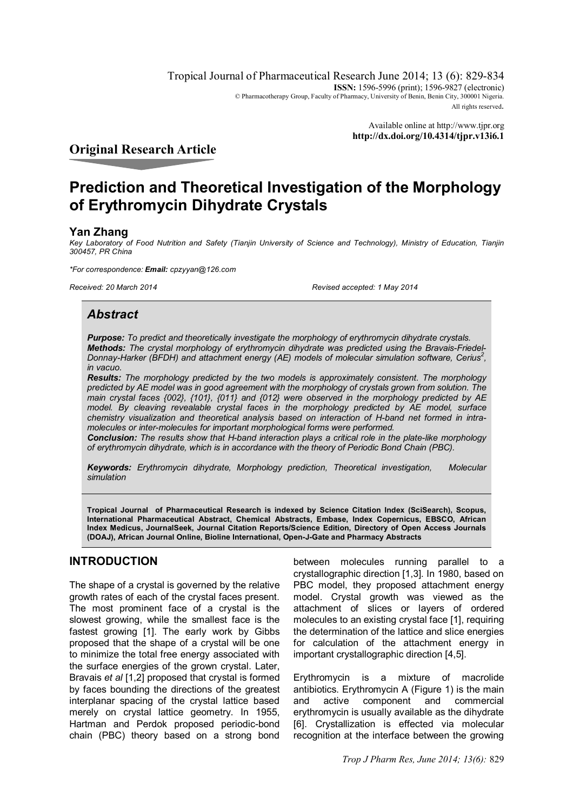Tropical Journal of Pharmaceutical Research June 2014; 13 (6): 829-834 **ISSN:** 1596-5996 (print); 1596-9827 (electronic) © Pharmacotherapy Group, Faculty of Pharmacy, University of Benin, Benin City, 300001 Nigeria. All rights reserved.

> Available online at http://www.tjpr.org **http://dx.doi.org/10.4314/tjpr.v13i6.1**

# **Original Research Article**

# **Prediction and Theoretical Investigation of the Morphology of Erythromycin Dihydrate Crystals**

## **Yan Zhang**

*Key Laboratory of Food Nutrition and Safety (Tianjin University of Science and Technology), Ministry of Education, Tianjin 300457, PR China*

*\*For correspondence: Email: cpzyyan@126.com*

*Received: 20 March 2014 Revised accepted: 1 May 2014*

# *Abstract*

*Purpose: To predict and theoretically investigate the morphology of erythromycin dihydrate crystals. Methods: The crystal morphology of erythromycin dihydrate was predicted using the Bravais-Friedel-Donnay-Harker (BFDH) and attachment energy (AE) models of molecular simulation software, Cerius<sup>2</sup> , in vacuo.* 

*Results: The morphology predicted by the two models is approximately consistent. The morphology predicted by AE model was in good agreement with the morphology of crystals grown from solution. The main crystal faces {002}, {101}, {011} and {012} were observed in the morphology predicted by AE model. By cleaving revealable crystal faces in the morphology predicted by AE model, surface chemistry visualization and theoretical analysis based on interaction of H-band net formed in intramolecules or inter-molecules for important morphological forms were performed.*

*Conclusion: The results show that H-band interaction plays a critical role in the plate-like morphology of erythromycin dihydrate, which is in accordance with the theory of Periodic Bond Chain (PBC).*

*Keywords: Erythromycin dihydrate, Morphology prediction, Theoretical investigation, Molecular simulation*

**Tropical Journal of Pharmaceutical Research is indexed by Science Citation Index (SciSearch), Scopus, International Pharmaceutical Abstract, Chemical Abstracts, Embase, Index Copernicus, EBSCO, African Index Medicus, JournalSeek, Journal Citation Reports/Science Edition, Directory of Open Access Journals (DOAJ), African Journal Online, Bioline International, Open-J-Gate and Pharmacy Abstracts**

## **INTRODUCTION**

The shape of a crystal is governed by the relative growth rates of each of the crystal faces present. The most prominent face of a crystal is the slowest growing, while the smallest face is the fastest growing [1]. The early work by Gibbs proposed that the shape of a crystal will be one to minimize the total free energy associated with the surface energies of the grown crystal. Later, Bravais *et al* [1,2] proposed that crystal is formed by faces bounding the directions of the greatest interplanar spacing of the crystal lattice based merely on crystal lattice geometry. In 1955, Hartman and Perdok proposed periodic-bond chain (PBC) theory based on a strong bond

between molecules running parallel to a crystallographic direction [1,3]. In 1980, based on PBC model, they proposed attachment energy model. Crystal growth was viewed as the attachment of slices or layers of ordered molecules to an existing crystal face [1], requiring the determination of the lattice and slice energies for calculation of the attachment energy in important crystallographic direction [4,5].

Erythromycin is a mixture of macrolide antibiotics. Erythromycin A (Figure 1) is the main and active component and commercial erythromycin is usually available as the dihydrate [6]. Crystallization is effected via molecular recognition at the interface between the growing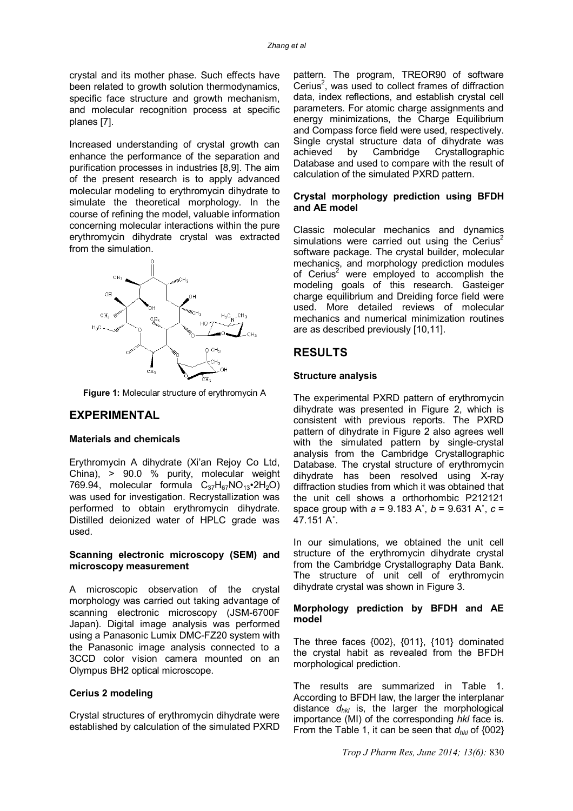crystal and its mother phase. Such effects have been related to growth solution thermodynamics, specific face structure and growth mechanism, and molecular recognition process at specific planes [7].

Increased understanding of crystal growth can enhance the performance of the separation and purification processes in industries [8,9]. The aim of the present research is to apply advanced molecular modeling to erythromycin dihydrate to simulate the theoretical morphology. In the course of refining the model, valuable information concerning molecular interactions within the pure erythromycin dihydrate crystal was extracted from the simulation.



**Figure 1:** Molecular structure of erythromycin A

## **EXPERIMENTAL**

### **Materials and chemicals**

Erythromycin A dihydrate (Xi'an Rejoy Co Ltd, China), > 90.0 % purity, molecular weight 769.94, molecular formula  $C_{37}H_{67}NO_{13}$ •2H<sub>2</sub>O) was used for investigation. Recrystallization was performed to obtain erythromycin dihydrate. Distilled deionized water of HPLC grade was used.

## **Scanning electronic microscopy (SEM) and microscopy measurement**

A microscopic observation of the crystal morphology was carried out taking advantage of scanning electronic microscopy (JSM-6700F Japan). Digital image analysis was performed using a Panasonic Lumix DMC-FZ20 system with the Panasonic image analysis connected to a 3CCD color vision camera mounted on an Olympus BH2 optical microscope.

#### **Cerius 2 modeling**

Crystal structures of erythromycin dihydrate were established by calculation of the simulated PXRD

pattern. The program, TREOR90 of software Cerius<sup>2</sup>, was used to collect frames of diffraction data, index reflections, and establish crystal cell parameters. For atomic charge assignments and energy minimizations, the Charge Equilibrium and Compass force field were used, respectively. Single crystal structure data of dihydrate was<br>achieved by Cambridge Crystallographic by Cambridge Crystallographic Database and used to compare with the result of calculation of the simulated PXRD pattern.

#### **Crystal morphology prediction using BFDH and AE model**

Classic molecular mechanics and dynamics simulations were carried out using the Cerius<sup>2</sup> software package. The crystal builder, molecular mechanics, and morphology prediction modules of Cerius<sup>2</sup> were employed to accomplish the modeling goals of this research. Gasteiger charge equilibrium and Dreiding force field were used. More detailed reviews of molecular mechanics and numerical minimization routines are as described previously [10,11].

## **RESULTS**

#### **Structure analysis**

The experimental PXRD pattern of erythromycin dihydrate was presented in Figure 2, which is consistent with previous reports. The PXRD pattern of dihydrate in Figure 2 also agrees well with the simulated pattern by single-crystal analysis from the Cambridge Crystallographic Database. The crystal structure of erythromycin dihydrate has been resolved using X-ray diffraction studies from which it was obtained that the unit cell shows a orthorhombic P212121 space group with *a* = 9.183 A˚, *b* = 9.631 A˚, *c* = 47.151 A˚.

In our simulations, we obtained the unit cell structure of the erythromycin dihydrate crystal from the Cambridge Crystallography Data Bank. The structure of unit cell of erythromycin dihydrate crystal was shown in Figure 3.

### **Morphology prediction by BFDH and AE model**

The three faces {002}, {011}, {101} dominated the crystal habit as revealed from the BFDH morphological prediction.

The results are summarized in Table 1. According to BFDH law, the larger the interplanar distance *dhkl* is, the larger the morphological importance (MI) of the corresponding *hkl* face is. From the Table 1, it can be seen that *dhkl* of {002}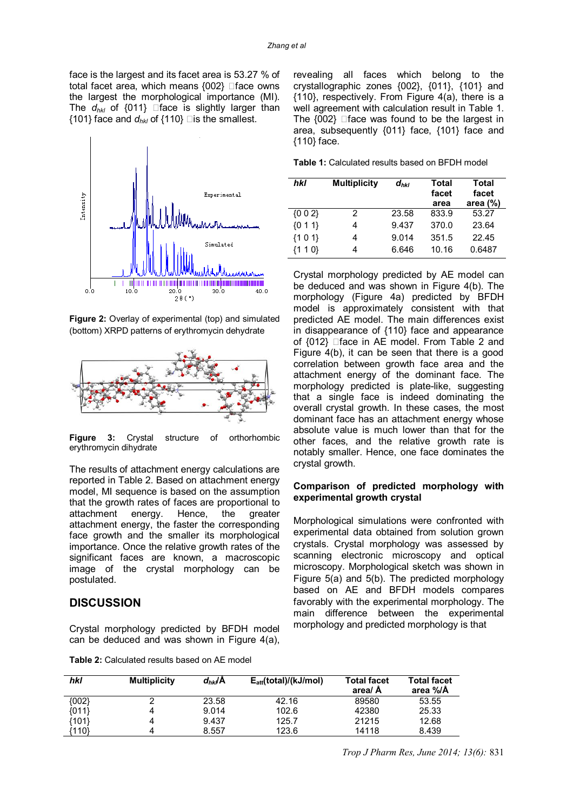face is the largest and its facet area is 53.27 % of total facet area, which means  ${002}$   $\Box$  face owns the largest the morphological importance (MI). The  $d_{hkl}$  of {011}  $\Box$  face is slightly larger than {101} face and  $d_{hkl}$  of {110} dis the smallest.



**Figure 2:** Overlay of experimental (top) and simulated (bottom) XRPD patterns of erythromycin dehydrate



**Figure 3:** Crystal structure of orthorhombic erythromycin dihydrate

The results of attachment energy calculations are reported in Table 2. Based on attachment energy model, MI sequence is based on the assumption that the growth rates of faces are proportional to attachment energy. Hence, the greater attachment energy, the faster the corresponding face growth and the smaller its morphological importance. Once the relative growth rates of the significant faces are known, a macroscopic image of the crystal morphology can be postulated.

## **DISCUSSION**

Crystal morphology predicted by BFDH model can be deduced and was shown in Figure 4(a),

| <b>Table 2:</b> Calculated results based on AE model |
|------------------------------------------------------|
|------------------------------------------------------|

revealing all faces which belong to the crystallographic zones {002}, {011}, {101} and {110}, respectively. From Figure 4(a), there is a well agreement with calculation result in Table 1. The  ${002}$   $\Box$  face was found to be the largest in area, subsequently {011} face, {101} face and {110} face.

**Table 1:** Calculated results based on BFDH model

| hkl     | <b>Multiplicity</b> | $d_{hkl}$ | Total<br>facet<br>area | <b>Total</b><br>facet<br>area $(\%)$ |
|---------|---------------------|-----------|------------------------|--------------------------------------|
| ${002}$ | 2                   | 23.58     | 833.9                  | 53.27                                |
| ${011}$ |                     | 9.437     | 370.0                  | 23.64                                |
| ${101}$ |                     | 9.014     | 351.5                  | 22.45                                |
| {1 1 0} |                     | 6.646     | 10.16                  | 0.6487                               |

Crystal morphology predicted by AE model can be deduced and was shown in Figure 4(b). The morphology (Figure 4a) predicted by BFDH model is approximately consistent with that predicted AE model. The main differences exist in disappearance of {110} face and appearance of  ${012}$   $\Box$  face in AE model. From Table 2 and Figure 4(b), it can be seen that there is a good correlation between growth face area and the attachment energy of the dominant face. The morphology predicted is plate-like, suggesting that a single face is indeed dominating the overall crystal growth. In these cases, the most dominant face has an attachment energy whose absolute value is much lower than that for the other faces, and the relative growth rate is notably smaller. Hence, one face dominates the crystal growth.

#### **Comparison of predicted morphology with experimental growth crystal**

Morphological simulations were confronted with experimental data obtained from solution grown crystals. Crystal morphology was assessed by scanning electronic microscopy and optical microscopy. Morphological sketch was shown in Figure 5(a) and 5(b). The predicted morphology based on AE and BFDH models compares favorably with the experimental morphology. The main difference between the experimental morphology and predicted morphology is that

| hkl   | <b>Multiplicity</b> | $d_{hkl}$ A | $E_{\text{att}}(\text{total})/(\text{kJ/mol})$ | <b>Total facet</b><br>area/ A | <b>Total facet</b><br>area %/Å |
|-------|---------------------|-------------|------------------------------------------------|-------------------------------|--------------------------------|
| {002} |                     | 23.58       | 42.16                                          | 89580                         | 53.55                          |
| {011} | 4                   | 9.014       | 102.6                                          | 42380                         | 25.33                          |
| {101} | 4                   | 9.437       | 125.7                                          | 21215                         | 12.68                          |
| 110}  | 4                   | 8.557       | 123.6                                          | 14118                         | 8.439                          |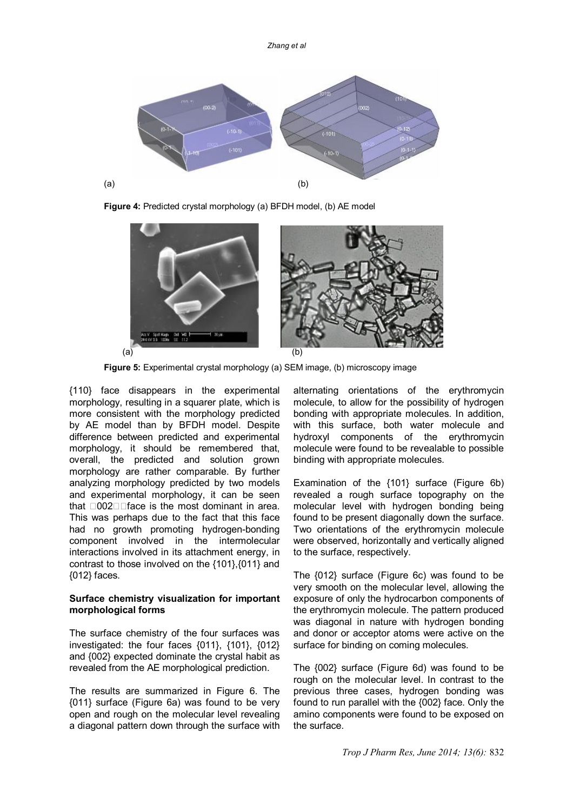

**Figure 4:** Predicted crystal morphology (a) BFDH model, (b) AE model



**Figure 5:** Experimental crystal morphology (a) SEM image, (b) microscopy image

{110} face disappears in the experimental morphology, resulting in a squarer plate, which is more consistent with the morphology predicted by AE model than by BFDH model. Despite difference between predicted and experimental morphology, it should be remembered that, overall, the predicted and solution grown morphology are rather comparable. By further analyzing morphology predicted by two models and experimental morphology, it can be seen that  $\Box 002\square$  face is the most dominant in area. This was perhaps due to the fact that this face had no growth promoting hydrogen-bonding component involved in the intermolecular interactions involved in its attachment energy, in contrast to those involved on the {101},{011} and {012} faces.

## **Surface chemistry visualization for important morphological forms**

The surface chemistry of the four surfaces was investigated: the four faces {011}, {101}, {012} and {002} expected dominate the crystal habit as revealed from the AE morphological prediction.

The results are summarized in Figure 6. The {011} surface (Figure 6a) was found to be very open and rough on the molecular level revealing a diagonal pattern down through the surface with alternating orientations of the erythromycin molecule, to allow for the possibility of hydrogen bonding with appropriate molecules. In addition, with this surface, both water molecule and hydroxyl components of the erythromycin molecule were found to be revealable to possible binding with appropriate molecules.

Examination of the {101} surface (Figure 6b) revealed a rough surface topography on the molecular level with hydrogen bonding being found to be present diagonally down the surface. Two orientations of the erythromycin molecule were observed, horizontally and vertically aligned to the surface, respectively.

The {012} surface (Figure 6c) was found to be very smooth on the molecular level, allowing the exposure of only the hydrocarbon components of the erythromycin molecule. The pattern produced was diagonal in nature with hydrogen bonding and donor or acceptor atoms were active on the surface for binding on coming molecules.

The {002} surface (Figure 6d) was found to be rough on the molecular level. In contrast to the previous three cases, hydrogen bonding was found to run parallel with the {002} face. Only the amino components were found to be exposed on the surface.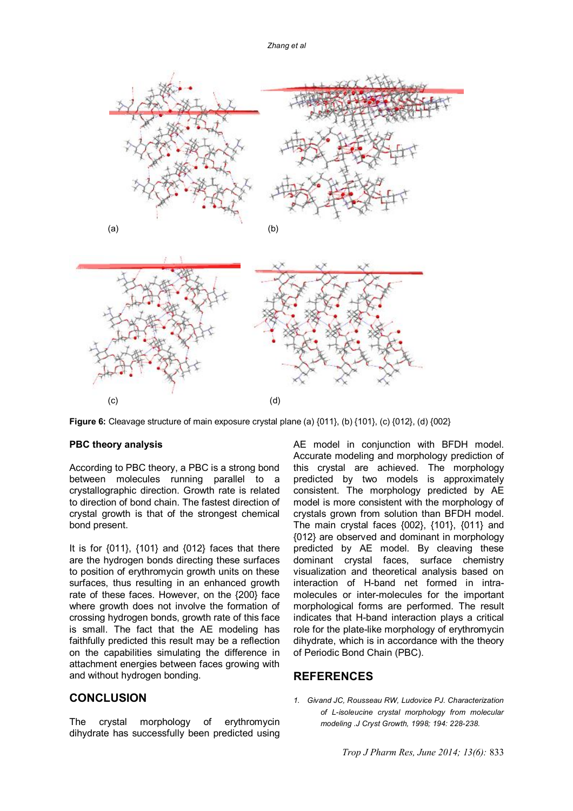

**Figure 6:** Cleavage structure of main exposure crystal plane (a)  $\{011\}$ , (b)  $\{101\}$ , (c)  $\{012\}$ , (d)  $\{002\}$ 

#### **PBC theory analysis**

According to PBC theory, a PBC is a strong bond between molecules running parallel to a crystallographic direction. Growth rate is related to direction of bond chain. The fastest direction of crystal growth is that of the strongest chemical bond present.

It is for  $\{011\}$ ,  $\{101\}$  and  $\{012\}$  faces that there are the hydrogen bonds directing these surfaces to position of erythromycin growth units on these surfaces, thus resulting in an enhanced growth rate of these faces. However, on the {200} face where growth does not involve the formation of crossing hydrogen bonds, growth rate of this face is small. The fact that the AE modeling has faithfully predicted this result may be a reflection on the capabilities simulating the difference in attachment energies between faces growing with and without hydrogen bonding.

## **CONCLUSION**

The crystal morphology of erythromycin dihydrate has successfully been predicted using AE model in conjunction with BFDH model. Accurate modeling and morphology prediction of this crystal are achieved. The morphology predicted by two models is approximately consistent. The morphology predicted by AE model is more consistent with the morphology of crystals grown from solution than BFDH model. The main crystal faces {002}, {101}, {011} and {012} are observed and dominant in morphology predicted by AE model. By cleaving these dominant crystal faces, surface chemistry visualization and theoretical analysis based on interaction of H-band net formed in intramolecules or inter-molecules for the important morphological forms are performed. The result indicates that H-band interaction plays a critical role for the plate-like morphology of erythromycin dihydrate, which is in accordance with the theory of Periodic Bond Chain (PBC).

## **REFERENCES**

*1. Givand JC, Rousseau RW, Ludovice PJ. Characterization of L-isoleucine crystal morphology from molecular modeling .J Cryst Growth, 1998; 194: 228-238.*